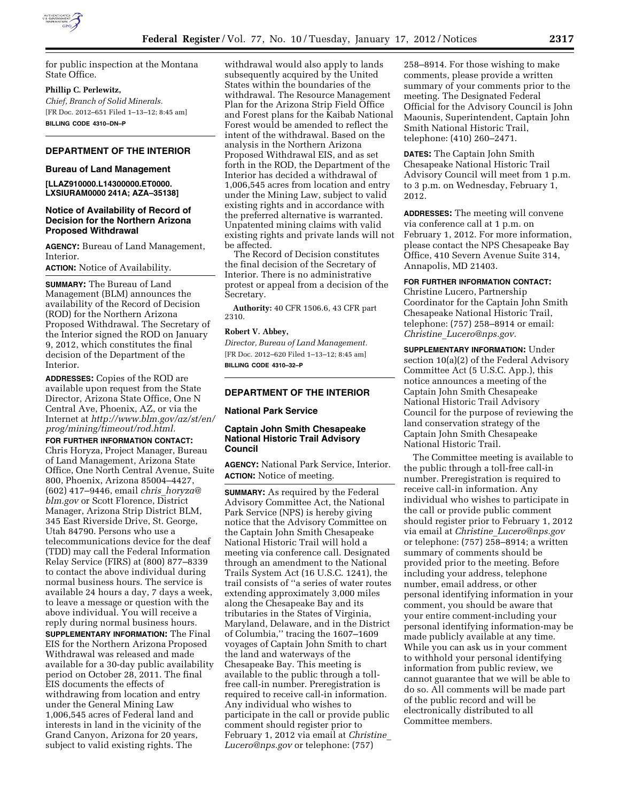

for public inspection at the Montana State Office.

**Phillip C. Perlewitz,**  *Chief, Branch of Solid Minerals.*  [FR Doc. 2012–651 Filed 1–13–12; 8:45 am]

**BILLING CODE 4310–DN–P** 

# **DEPARTMENT OF THE INTERIOR**

### **Bureau of Land Management**

**[LLAZ910000.L14300000.ET0000. LXSIURAM0000 241A; AZA–35138]** 

## **Notice of Availability of Record of Decision for the Northern Arizona Proposed Withdrawal**

**AGENCY:** Bureau of Land Management, Interior.

**ACTION:** Notice of Availability.

**SUMMARY:** The Bureau of Land Management (BLM) announces the availability of the Record of Decision (ROD) for the Northern Arizona Proposed Withdrawal. The Secretary of the Interior signed the ROD on January 9, 2012, which constitutes the final decision of the Department of the Interior.

**ADDRESSES:** Copies of the ROD are available upon request from the State Director, Arizona State Office, One N Central Ave, Phoenix, AZ, or via the Internet at *[http://www.blm.gov/az/st/en/](http://www.blm.gov/az/st/en/prog/mining/timeout/rod.html)  [prog/mining/timeout/rod.html.](http://www.blm.gov/az/st/en/prog/mining/timeout/rod.html)* 

**FOR FURTHER INFORMATION CONTACT:**  Chris Horyza, Project Manager, Bureau of Land Management, Arizona State Office, One North Central Avenue, Suite 800, Phoenix, Arizona 85004–4427, (602) 417–9446, email *chris*\_*[horyza@](mailto:chris_horyza@blm.gov) [blm.gov](mailto:chris_horyza@blm.gov)* or Scott Florence, District Manager, Arizona Strip District BLM, 345 East Riverside Drive, St. George, Utah 84790. Persons who use a telecommunications device for the deaf (TDD) may call the Federal Information Relay Service (FIRS) at (800) 877–8339 to contact the above individual during normal business hours. The service is available 24 hours a day, 7 days a week, to leave a message or question with the above individual. You will receive a reply during normal business hours. **SUPPLEMENTARY INFORMATION:** The Final EIS for the Northern Arizona Proposed Withdrawal was released and made available for a 30-day public availability period on October 28, 2011. The final EIS documents the effects of withdrawing from location and entry under the General Mining Law 1,006,545 acres of Federal land and interests in land in the vicinity of the Grand Canyon, Arizona for 20 years, subject to valid existing rights. The

withdrawal would also apply to lands subsequently acquired by the United States within the boundaries of the withdrawal. The Resource Management Plan for the Arizona Strip Field Office and Forest plans for the Kaibab National Forest would be amended to reflect the intent of the withdrawal. Based on the analysis in the Northern Arizona Proposed Withdrawal EIS, and as set forth in the ROD, the Department of the Interior has decided a withdrawal of 1,006,545 acres from location and entry under the Mining Law, subject to valid existing rights and in accordance with the preferred alternative is warranted. Unpatented mining claims with valid existing rights and private lands will not be affected.

The Record of Decision constitutes the final decision of the Secretary of Interior. There is no administrative protest or appeal from a decision of the Secretary.

**Authority:** 40 CFR 1506.6, 43 CFR part 2310.

# **Robert V. Abbey,**

*Director, Bureau of Land Management.*  [FR Doc. 2012–620 Filed 1–13–12; 8:45 am] **BILLING CODE 4310–32–P** 

### **DEPARTMENT OF THE INTERIOR**

# **National Park Service**

# **Captain John Smith Chesapeake National Historic Trail Advisory Council**

**AGENCY:** National Park Service, Interior. **ACTION:** Notice of meeting.

**SUMMARY:** As required by the Federal Advisory Committee Act, the National Park Service (NPS) is hereby giving notice that the Advisory Committee on the Captain John Smith Chesapeake National Historic Trail will hold a meeting via conference call. Designated through an amendment to the National Trails System Act (16 U.S.C. 1241), the trail consists of ''a series of water routes extending approximately 3,000 miles along the Chesapeake Bay and its tributaries in the States of Virginia, Maryland, Delaware, and in the District of Columbia,'' tracing the 1607–1609 voyages of Captain John Smith to chart the land and waterways of the Chesapeake Bay. This meeting is available to the public through a tollfree call-in number. Preregistration is required to receive call-in information. Any individual who wishes to participate in the call or provide public comment should register prior to February 1, 2012 via email at *[Christine](mailto:Christine_Lucero@nps.gov)*\_ *[Lucero@nps.gov](mailto:Christine_Lucero@nps.gov)* or telephone: (757)

258–8914. For those wishing to make comments, please provide a written summary of your comments prior to the meeting. The Designated Federal Official for the Advisory Council is John Maounis, Superintendent, Captain John Smith National Historic Trail, telephone: (410) 260–2471.

**DATES:** The Captain John Smith Chesapeake National Historic Trail Advisory Council will meet from 1 p.m. to 3 p.m. on Wednesday, February 1, 2012.

**ADDRESSES:** The meeting will convene via conference call at 1 p.m. on February 1, 2012. For more information, please contact the NPS Chesapeake Bay Office, 410 Severn Avenue Suite 314, Annapolis, MD 21403.

# **FOR FURTHER INFORMATION CONTACT:**

Christine Lucero, Partnership Coordinator for the Captain John Smith Chesapeake National Historic Trail, telephone: (757) 258–8914 or email: *Christine*\_*[Lucero@nps.gov.](mailto:Christine_Lucero@nps.gov)* 

**SUPPLEMENTARY INFORMATION:** Under section 10(a)(2) of the Federal Advisory Committee Act (5 U.S.C. App.), this notice announces a meeting of the Captain John Smith Chesapeake National Historic Trail Advisory Council for the purpose of reviewing the land conservation strategy of the Captain John Smith Chesapeake National Historic Trail.

The Committee meeting is available to the public through a toll-free call-in number. Preregistration is required to receive call-in information. Any individual who wishes to participate in the call or provide public comment should register prior to February 1, 2012 via email at *Christine*\_*[Lucero@nps.gov](mailto:Christine_Lucero@nps.gov)*  or telephone: (757) 258–8914; a written summary of comments should be provided prior to the meeting. Before including your address, telephone number, email address, or other personal identifying information in your comment, you should be aware that your entire comment-including your personal identifying information-may be made publicly available at any time. While you can ask us in your comment to withhold your personal identifying information from public review, we cannot guarantee that we will be able to do so. All comments will be made part of the public record and will be electronically distributed to all Committee members.